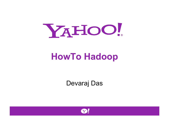

# **HowTo Hadoop**

Devaraj Das

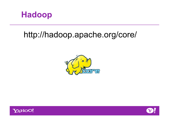

#### http://hadoop.apache.org/core/





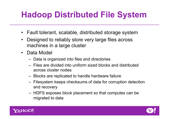# **Hadoop Distributed File System**

- Fault tolerant, scalable, distributed storage system
- Designed to reliably store very large files across machines in a large cluster
- Data Model
	- Data is organized into files and directories
	- Files are divided into uniform sized blocks and distributed across cluster nodes
	- Blocks are replicated to handle hardware failure
	- Filesystem keeps checksums of data for corruption detection and recovery
	- HDFS exposes block placement so that computes can be migrated to data



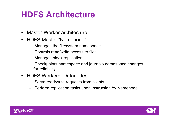### **HDFS Architecture**

- Master-Worker architecture
- HDFS Master "Namenode"
	- Manages the filesystem namespace
	- Controls read/write access to files
	- Manages block replication
	- Checkpoints namespace and journals namespace changes for reliability
- HDFS Workers "Datanodes"
	- Serve read/write requests from clients
	- Perform replication tasks upon instruction by Namenode



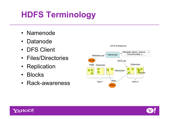# **HDFS Terminology**

- Namenode
- Datanode
- DFS Client
- Files/Directories
- Replication
- Blocks
- Rack-awareness





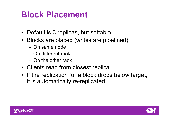### **Block Placement**

- Default is 3 replicas, but settable
- Blocks are placed (writes are pipelined):
	- On same node
	- On different rack
	- On the other rack
- Clients read from closest replica
- If the replication for a block drops below target, it is automatically re-replicated.



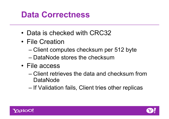### **Data Correctness**

- Data is checked with CRC32
- File Creation
	- Client computes checksum per 512 byte
	- DataNode stores the checksum
- File access
	- Client retrieves the data and checksum from DataNode
	- If Validation fails, Client tries other replicas



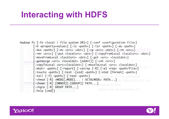### **Interacting with HDFS**





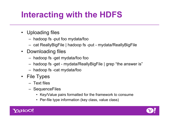# **Interacting with the HDFS**

- Uploading files
	- hadoop fs -put foo mydata/foo
	- cat ReallyBigFile | hadoop fs -put mydata/ReallyBigFile
- Downloading files
	- hadoop fs -get mydata/foo foo
	- hadoop fs -get mydata/ReallyBigFile | grep "the answer is"
	- hadoop fs -cat mydata/foo
- File Types
	- Text files
	- SequenceFiles
		- Key/Value pairs formatted for the framework to consume
		- Per-file type information (key class, value class)



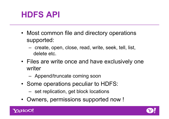#### **HDFS API**

- Most common file and directory operations supported:
	- create, open, close, read, write, seek, tell, list, delete etc.
- Files are write once and have exclusively one writer
	- Append/truncate coming soon
- Some operations peculiar to HDFS:
	- set replication, get block locations
- Owners, permissions supported now !



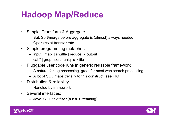### **Hadoop Map/Reduce**

- Simple: Transform & Aggregate
	- But, Sort/merge before aggregate is (almost) always needed
	- Operates at transfer rate
- Simple programming metaphor:
	- input | map | shuffle | reduce > output
	- cat \* | grep | sort | uniq -c > file
- Pluggable user code runs in generic reusable framework
	- A natural for log processing, great for most web search processing
	- A lot of SQL maps trivially to this construct (see PIG)
- Distribution & reliability
	- Handled by framework
- Several interfaces:
	- Java, C++, text filter (a.k.a. Streaming)



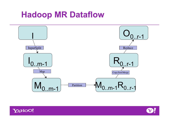### **Hadoop MR Dataflow**





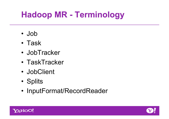# **Hadoop MR - Terminology**

- Job
- Task
- JobTracker
- TaskTracker
- JobClient
- Splits
- InputFormat/RecordReader



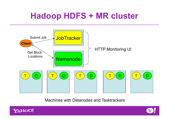### **Hadoop HDFS + MR cluster**



Machines with Datanodes and Tasktrackers



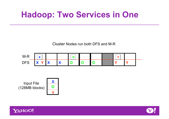### **Hadoop: Two Services in One**

Cluster Nodes run both DFS and M-R







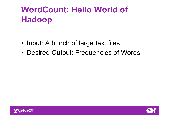# **WordCount: Hello World of Hadoop**

- Input: A bunch of large text files
- Desired Output: Frequencies of Words



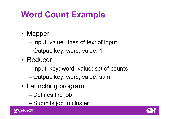# **Word Count Example**

- Mapper
	- Input: value: lines of text of input
	- Output: key: word, value: 1
- Reducer
	- Input: key: word, value: set of counts
	- Output: key: word, value: sum
- Launching program
	- Defines the job
	- Submits job to cluster



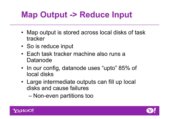# **Map Output -> Reduce Input**

- Map output is stored across local disks of task tracker
- So is reduce input
- Each task tracker machine also runs a Datanode
- In our config, datanode uses "upto" 85% of local disks
- Large intermediate outputs can fill up local disks and cause failures
	- Non-even partitions too



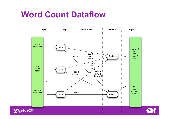### **Word Count Dataflow**

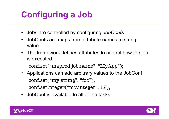# **Configuring a Job**

- Jobs are controlled by configuring *JobConfs*
- JobConfs are maps from attribute names to string value
- The framework defines attributes to control how the job is executed.

conf.set("mapred.job.name", "MyApp");

- Applications can add arbitrary values to the JobConf conf.set("my.string", "foo"); conf.setInteger("my.integer", 12);
- JobConf is available to all of the tasks



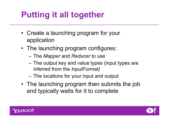# **Putting it all together**

- Create a launching program for your application
- The launching program configures:
	- The *Mapper* and *Reducer* to use
	- The output key and value types (input types are inferred from the *InputFormat)*
	- The locations for your input and output
- The launching program then submits the job and typically waits for it to complete



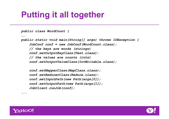### **Putting it all together**

```
public class WordCount { 
…… 
public static void main(String[] args) throws IOException { 
     JobConf conf = new JobConf(WordCount.class); 
     // the keys are words (strings) 
     conf.setOutputKeyClass(Text.class); 
     // the values are counts (ints) 
     conf.setOutputValueClass(IntWritable.class); 
     conf.setMapperClass(MapClass.class); 
     conf.setReducerClass(Reduce.class); 
     conf.setInputPath(new Path(args[0]); 
     conf.setOutputPath(new Path(args[1]); 
     JobClient.runJob(conf);
```
*…..* 



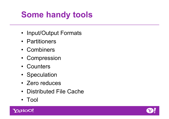# **Some handy tools**

- Input/Output Formats
- Partitioners
- Combiners
- Compression
- Counters
- Speculation
- Zero reduces
- Distributed File Cache
- Tool



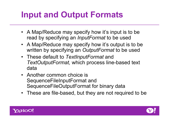# **Input and Output Formats**

- A Map/Reduce may specify how it's input is to be read by specifying an *InputFormat* to be used
- A Map/Reduce may specify how it's output is to be written by specifying an *OutputFormat* to be used
- These default to *TextInputFormat* and *TextOutputFormat,* which process line-based text data
- Another common choice is SequenceFileInputFormat and SequenceFileOutputFormat for binary data
- These are file-based, but they are not required to be



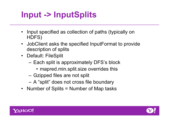# **Input -> InputSplits**

- Input specified as collection of paths (typically on HDFS)
- JobClient asks the specified InputFormat to provide description of splits
- Default: FileSplit
	- Each split is approximately DFS's block
		- mapred.min.split.size overrides this
	- Gzipped files are not split
	- A "split" does not cross file boundary
- Number of Splits = Number of Map tasks



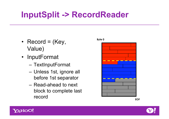### **InputSplit -> RecordReader**

- Record =  $(Key,$ Value)
- InputFormat
	- TextInputFormat
	- Unless 1st, ignore all before 1st separator
	- Read-ahead to next block to complete last record









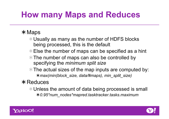# **How many Maps and Reduces**

#### $*$  Maps

- Usually as many as the number of HDFS blocks being processed, this is the default
- **Else the number of maps can be specified as a hint**
- **The number of maps can also be controlled by** specifying the *minimum split size*
- $*$  The actual sizes of the map inputs are computed by: *max(min(block\_size, data/#maps), min\_split\_size)*

#### $*$ Reduces

Unless the amount of data being processed is small *0.95\*num\_nodes\*mapred.tasktracker.tasks.maximum*



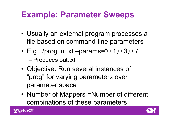### **Example: Parameter Sweeps**

- Usually an external program processes a file based on command-line parameters
- E.g. ./prog in.txt –params="0.1,0.3,0.7" – Produces out.txt
- Objective: Run several instances of "prog" for varying parameters over parameter space
- Number of Mappers =Number of different combinations of these parameters



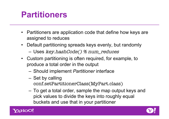#### **Partitioners**

- Partitioners are application code that define how keys are assigned to reduces
- Default partitioning spreads keys evenly, but randomly
	- Uses key.hashCode() % num\_reduces
- Custom partitioning is often required, for example, to produce a total order in the output
	- Should implement *Partitioner* interface
	- Set by calling conf.setPartitionerClass(MyPart.class)
	- To get a total order, sample the map output keys and pick values to divide the keys into roughly equal buckets and use that in your partitioner



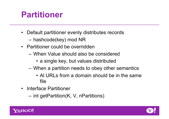### **Partitioner**

- Default partitioner evenly distributes records
	- hashcode(key) mod NR
- Partitioner could be overridden
	- When Value should also be considered
		- a single key, but values distributed
	- When a partition needs to obey other semantics
		- Al URLs from a domain should be in the same file
- Interface Partitioner
	- int getPartition(K, V, nPartitions)



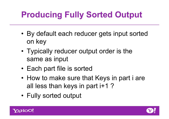# **Producing Fully Sorted Output**

- By default each reducer gets input sorted on key
- Typically reducer output order is the same as input
- Each part file is sorted
- How to make sure that Keys in part i are all less than keys in part i+1 ?
- Fully sorted output



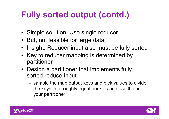# **Fully sorted output (contd.)**

- Simple solution: Use single reducer
- But, not feasible for large data
- Insight: Reducer input also must be fully sorted
- Key to reducer mapping is determined by partitioner
- Design a partitioner that implements fully sorted reduce input
	- sample the map output keys and pick values to divide the keys into roughly equal buckets and use that in your partitioner



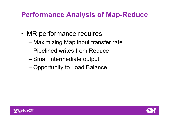#### **Performance Analysis of Map-Reduce**

- MR performance requires
	- Maximizing Map input transfer rate
	- Pipelined writes from Reduce
	- Small intermediate output
	- Opportunity to Load Balance



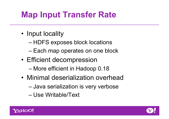# **Map Input Transfer Rate**

- Input locality
	- HDFS exposes block locations
	- Each map operates on one block
- Efficient decompression
	- More efficient in Hadoop 0.18
- Minimal deserialization overhead
	- Java serialization is very verbose
	- Use Writable/Text



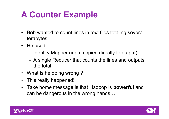## **A Counter Example**

- Bob wanted to count lines in text files totaling several terabytes
- He used
	- Identity Mapper (input copied directly to output)
	- A single Reducer that counts the lines and outputs the total
- What is he doing wrong?
- This really happened!
- Take home message is that Hadoop is **powerful** and can be dangerous in the wrong hands…



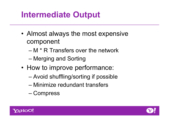### **Intermediate Output**

- Almost always the most expensive component
	- M \* R Transfers over the network
	- Merging and Sorting
- How to improve performance:
	- Avoid shuffling/sorting if possible
	- Minimize redundant transfers
	- Compress



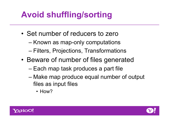# **Avoid shuffling/sorting**

- Set number of reducers to zero
	- Known as map-only computations
	- Filters, Projections, Transformations
- Beware of number of files generated
	- Each map task produces a part file
	- Make map produce equal number of output files as input files
		- How?



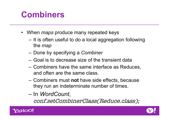### **Combiners**

- When *maps* produce many repeated keys
	- It is often useful to do a local aggregation following the *map*
	- Done by specifying a *Combiner*
	- Goal is to decrease size of the transient data
	- Combiners have the same interface as Reduces, and often are the same class.
	- Combiners must **not** have side effects, because they run an indeterminate number of times.
	- In *WordCount*,

conf.setCombinerClass(Reduce.class);



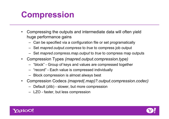### **Compression**

- Compressing the outputs and intermediate data will often yield huge performance gains
	- Can be specified via a configuration file or set programatically
	- Set *mapred.output.compress* to *true* to compress job output
	- Set *mapred.compress.map.output* to *true* to compress map outputs
- Compression Types *(mapred.output.compression.type)*
	- "block" Group of keys and values are compressed together
	- "record" Each value is compressed individually
	- Block compression is almost always best
- Compression Codecs *(mapred(.map)?.output.compression.codec)*
	- Default (zlib) slower, but more compression
	- LZO faster, but less compression



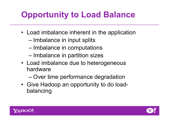# **Opportunity to Load Balance**

- Load imbalance inherent in the application
	- Imbalance in input splits
	- Imbalance in computations
	- Imbalance in partition sizes
- Load imbalance due to heterogeneous hardware
	- Over time performance degradation
- Give Hadoop an opportunity to do loadbalancing



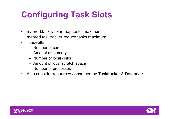# **Configuring Task Slots**

- mapred.tasktracker.map.tasks.maximum
- mapred.tasktracker.reduce.tasks.maximum
- Tradeoffs:
	- Number of cores
	- Amount of memory
	- Number of local disks
	- Amount of local scratch space
	- Number of processes
- Also consider resources consumed by Tasktracker & Datanode



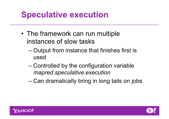### **Speculative execution**

- The framework can run multiple instances of slow tasks
	- Output from instance that finishes first is used
	- Controlled by the configuration variable *mapred.speculative.execution*
	- Can dramatically bring in long tails on jobs



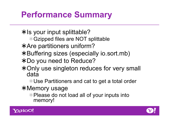### **Performance Summary**

**\*Is your input splittable?** 

Gzipped files are NOT splittable

Are partitioners uniform?

Buffering sizes (especially io.sort.mb)

Do you need to Reduce?

**\*Only use singleton reduces for very small** data

Use Partitioners and cat to get a total order

**\*Memory usage** 

**\*Please do not load all of your inputs into** memory!



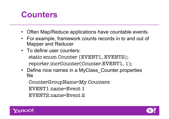#### **Counters**

- Often Map/Reduce applications have countable events
- For example, framework counts records in to and out of Mapper and Reducer
- To define user counters: static enum Counter {EVENT1, EVENT2}; reporter.incrCounter(Counter.EVENT1, 1);
- Define nice names in a MyClass Counter.properties file

CounterGroupName=My Counters

EVENT1.name=Event 1

EVENT2.name=Event 2



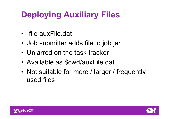# **Deploying Auxiliary Files**

- -file auxFile.dat
- Job submitter adds file to job.jar
- Unjarred on the task tracker
- Available as \$cwd/auxFile.dat
- Not suitable for more / larger / frequently used files



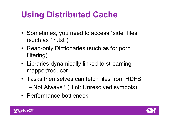### **Using Distributed Cache**

- Sometimes, you need to access "side" files (such as "in.txt")
- Read-only Dictionaries (such as for porn filtering)
- Libraries dynamically linked to streaming mapper/reducer
- Tasks themselves can fetch files from HDFS – Not Always ! (Hint: Unresolved symbols)
- Performance bottleneck



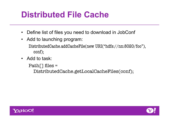### **Distributed File Cache**

- Define list of files you need to download in JobConf
- Add to launching program: DistributedCache.addCacheFile(new URI("hdfs://nn:8020/foo"), conf);
- Add to task:

```
Path\lceil \cdot \rceil files =
  DistributedCache.getLocalCacheFiles(conf);
```


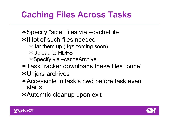### **Caching Files Across Tasks**

Specify "side" files via –cacheFile \*If lot of such files needed

- Jar them up (.tgz coming soon)
- Upload to HDFS
- Specify via –cacheArchive
- TaskTracker downloads these files "once"
- Unjars archives
- Accessible in task's cwd before task even starts

Automtic cleanup upon exit



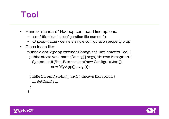### **Tool**

- Handle "standard" Hadoop command line options:
	- -conf file **-** load a configuration file named file
	- -D prop=value **-** define a single configuration property prop
- Class looks like:

```
public class MyApp extends Configured implements Tool {
  public static void main(String[] args) throws Exception {
   System.exit(ToolRunner.run(new Configuration(),
             new MyApp(), args));
```

```
 }
 public int run(String[] args) throws Exception {
   …. getConf() …
 }
```


}

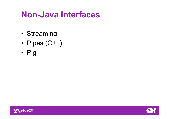### **Non-Java Interfaces**

- Streaming
- Pipes (C++)
- Pig



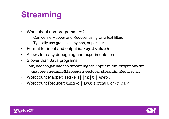# **Streaming**

- What about non-programmers?
	- Can define Mapper and Reducer using Unix text filters
	- Typically use grep, sed, python, or perl scripts
- Format for input and output is: **key \t value \n**
- Allows for easy debugging and experimentation
- Slower than Java programs bin/hadoop jar hadoop-streaming.jar -input in-dir -output out-dir -mapper streamingMapper.sh -reducer streamingReducer.sh
- Wordcount Mapper: sed -e 's|  $|\ln|g'$  | grep.
- Wordcount Reducer: uniq -c | awk '{print \$2 "\t" \$1 }'



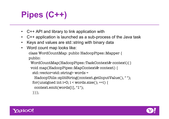# **Pipes (C++)**

- C++ API and library to link application with
- C++ application is launched as a sub-process of the Java task
- Keys and values are std::string with binary data
- Word count map looks like: class WordCountMap: public HadoopPipes::Mapper { public:

```
WordCountMap(HadoopPipes::TaskContext& context){}
 void map(HadoopPipes::MapContext& context) {
  std::vector<std::string> words = 
   HadoopUtils::splitString(context.getInputValue(), " ");
for(unsigned int i=0; i < words.size(); ++i) {
  context.emit(words[i], "1");
  }}};
```


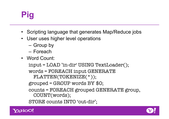# **Pig**

- Scripting language that generates Map/Reduce jobs
- User uses higher level operations
	- Group by
	- Foreach
- Word Count:

```
input = LOAD 'in-dir' USING TextLoader();
words = FOREACH input GENERATE 
 FLATTEN(TOKENIZE(*));
grouped = GROUP words BY $0;counts = FOREACH grouped GENERATE group, 
 COUNT(words);
STORE counts INTO 'out-dir';
```